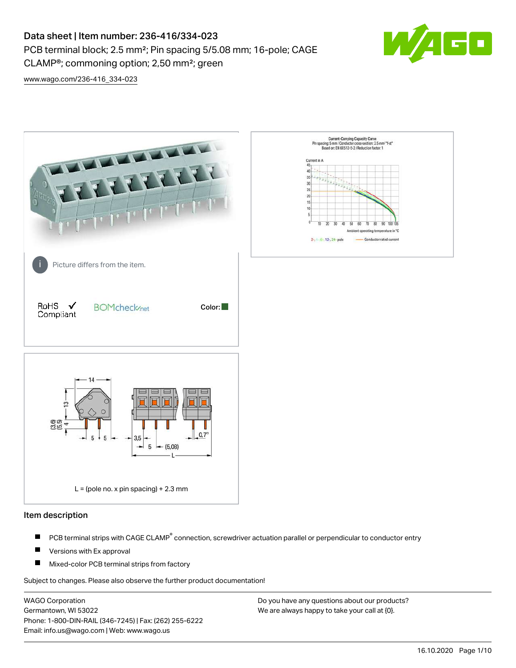PCB terminal block; 2.5 mm²; Pin spacing 5/5.08 mm; 16-pole; CAGE

CLAMP®; commoning option; 2,50 mm²; green



[www.wago.com/236-416\\_334-023](http://www.wago.com/236-416_334-023)



### Item description

- PCB terminal strips with CAGE CLAMP<sup>®</sup> connection, screwdriver actuation parallel or perpendicular to conductor entry П
- П Versions with Ex approval
- П Mixed-color PCB terminal strips from factory

Subject to changes. Please also observe the further product documentation!

WAGO Corporation Germantown, WI 53022 Phone: 1-800-DIN-RAIL (346-7245) | Fax: (262) 255-6222 Email: info.us@wago.com | Web: www.wago.us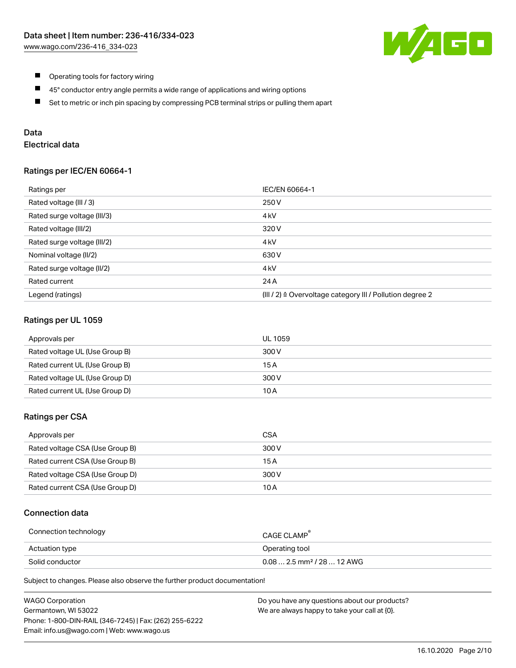

- $\blacksquare$ Operating tools for factory wiring
- $\blacksquare$ 45° conductor entry angle permits a wide range of applications and wiring options
- $\blacksquare$ Set to metric or inch pin spacing by compressing PCB terminal strips or pulling them apart

# Data

# Electrical data

### Ratings per IEC/EN 60664-1

| Ratings per                 | IEC/EN 60664-1                                                        |
|-----------------------------|-----------------------------------------------------------------------|
| Rated voltage (III / 3)     | 250 V                                                                 |
| Rated surge voltage (III/3) | 4 <sub>k</sub> V                                                      |
| Rated voltage (III/2)       | 320 V                                                                 |
| Rated surge voltage (III/2) | 4 <sub>k</sub> V                                                      |
| Nominal voltage (II/2)      | 630 V                                                                 |
| Rated surge voltage (II/2)  | 4 <sub>k</sub> V                                                      |
| Rated current               | 24 A                                                                  |
| Legend (ratings)            | $(III / 2)$ $\triangle$ Overvoltage category III / Pollution degree 2 |

### Ratings per UL 1059

| Approvals per                  | UL 1059 |
|--------------------------------|---------|
| Rated voltage UL (Use Group B) | 300 V   |
| Rated current UL (Use Group B) | 15 A    |
| Rated voltage UL (Use Group D) | 300 V   |
| Rated current UL (Use Group D) | 10 A    |

#### Ratings per CSA

| Approvals per                   | CSA   |
|---------------------------------|-------|
| Rated voltage CSA (Use Group B) | 300 V |
| Rated current CSA (Use Group B) | 15 A  |
| Rated voltage CSA (Use Group D) | 300 V |
| Rated current CSA (Use Group D) | 10 A  |

## Connection data

| Connection technology | CAGE CLAMP                              |
|-----------------------|-----------------------------------------|
| Actuation type        | Operating tool                          |
| Solid conductor       | $0.08$ 2.5 mm <sup>2</sup> / 28  12 AWG |

Subject to changes. Please also observe the further product documentation!

| <b>WAGO Corporation</b>                                | Do you have any questions about our products? |
|--------------------------------------------------------|-----------------------------------------------|
| Germantown, WI 53022                                   | We are always happy to take your call at {0}. |
| Phone: 1-800-DIN-RAIL (346-7245)   Fax: (262) 255-6222 |                                               |
| Email: info.us@wago.com   Web: www.wago.us             |                                               |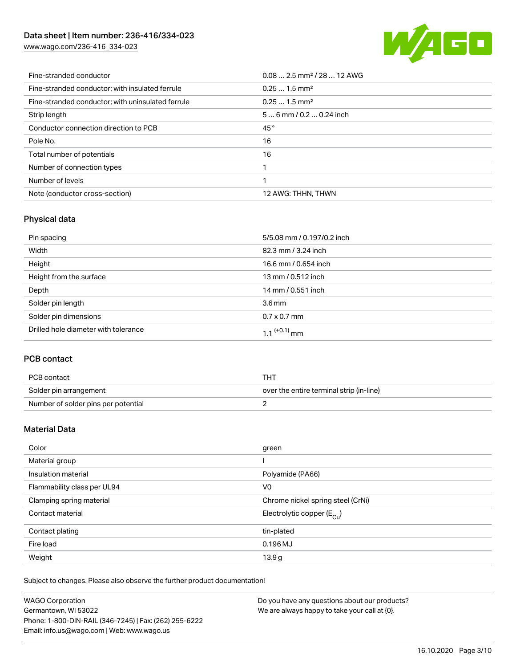[www.wago.com/236-416\\_334-023](http://www.wago.com/236-416_334-023)



| Fine-stranded conductor                           | $0.08$ 2.5 mm <sup>2</sup> / 28  12 AWG |
|---------------------------------------------------|-----------------------------------------|
| Fine-stranded conductor; with insulated ferrule   | $0.251.5$ mm <sup>2</sup>               |
| Fine-stranded conductor; with uninsulated ferrule | $0.251.5$ mm <sup>2</sup>               |
| Strip length                                      | $56$ mm / 0.2  0.24 inch                |
| Conductor connection direction to PCB             | 45°                                     |
| Pole No.                                          | 16                                      |
| Total number of potentials                        | 16                                      |
| Number of connection types                        |                                         |
| Number of levels                                  |                                         |
| Note (conductor cross-section)                    | 12 AWG: THHN, THWN                      |

# Physical data

| Pin spacing                          | 5/5.08 mm / 0.197/0.2 inch |
|--------------------------------------|----------------------------|
| Width                                | 82.3 mm / 3.24 inch        |
| Height                               | 16.6 mm / 0.654 inch       |
| Height from the surface              | 13 mm / 0.512 inch         |
| Depth                                | 14 mm / 0.551 inch         |
| Solder pin length                    | $3.6 \,\mathrm{mm}$        |
| Solder pin dimensions                | $0.7 \times 0.7$ mm        |
| Drilled hole diameter with tolerance | $1.1$ <sup>(+0.1)</sup> mm |

# PCB contact

| PCB contact                         | THT                                      |
|-------------------------------------|------------------------------------------|
| Solder pin arrangement              | over the entire terminal strip (in-line) |
| Number of solder pins per potential |                                          |

# Material Data

| Color                       | green                                 |
|-----------------------------|---------------------------------------|
| Material group              |                                       |
| Insulation material         | Polyamide (PA66)                      |
| Flammability class per UL94 | V <sub>0</sub>                        |
| Clamping spring material    | Chrome nickel spring steel (CrNi)     |
| Contact material            | Electrolytic copper $(E_{\text{CL}})$ |
| Contact plating             | tin-plated                            |
| Fire load                   | $0.196$ MJ                            |
| Weight                      | 13.9 <sub>g</sub>                     |

Subject to changes. Please also observe the further product documentation!

| WAGO Corporation                                       | Do you have any questions about our products? |
|--------------------------------------------------------|-----------------------------------------------|
| Germantown, WI 53022                                   | We are always happy to take your call at {0}. |
| Phone: 1-800-DIN-RAIL (346-7245)   Fax: (262) 255-6222 |                                               |
| Email: info.us@wago.com   Web: www.wago.us             |                                               |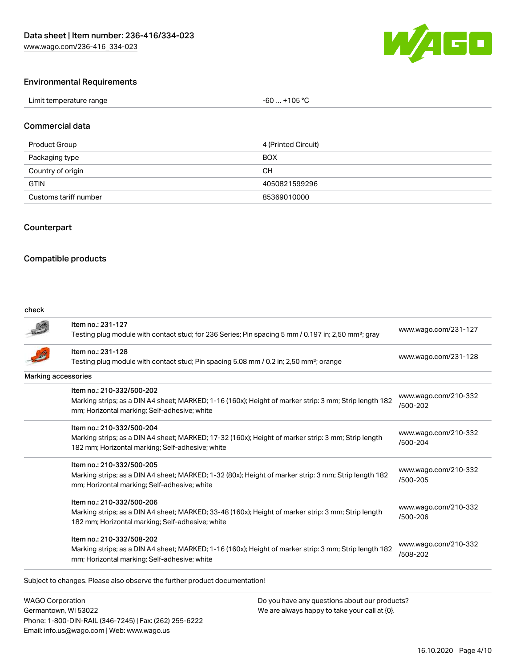

#### Environmental Requirements

| Limit temperature range                                                                                             | 105 °C |
|---------------------------------------------------------------------------------------------------------------------|--------|
| <u>a matematika kwa matematika kwa matematika kwa matematika kwa matematika kwa matematika kwa matematika kwa m</u> | -60    |
|                                                                                                                     |        |

#### Commercial data

| Product Group         | 4 (Printed Circuit) |
|-----------------------|---------------------|
| Packaging type        | <b>BOX</b>          |
| Country of origin     | CН                  |
| <b>GTIN</b>           | 4050821599296       |
| Customs tariff number | 85369010000         |

# **Counterpart**

#### Compatible products

#### check

|                     | Item no.: 231-127                                                                                               | www.wago.com/231-127             |  |
|---------------------|-----------------------------------------------------------------------------------------------------------------|----------------------------------|--|
|                     | Testing plug module with contact stud; for 236 Series; Pin spacing 5 mm / 0.197 in; 2,50 mm <sup>2</sup> ; gray |                                  |  |
|                     | Item no.: 231-128                                                                                               | www.wago.com/231-128             |  |
|                     | Testing plug module with contact stud; Pin spacing 5.08 mm / 0.2 in; 2,50 mm <sup>2</sup> ; orange              |                                  |  |
| Marking accessories |                                                                                                                 |                                  |  |
|                     | Item no.: 210-332/500-202                                                                                       |                                  |  |
|                     | Marking strips; as a DIN A4 sheet; MARKED; 1-16 (160x); Height of marker strip: 3 mm; Strip length 182          | www.wago.com/210-332<br>/500-202 |  |
|                     | mm; Horizontal marking; Self-adhesive; white                                                                    |                                  |  |
|                     | Item no.: 210-332/500-204                                                                                       |                                  |  |
|                     | Marking strips; as a DIN A4 sheet; MARKED; 17-32 (160x); Height of marker strip: 3 mm; Strip length             | www.wago.com/210-332<br>/500-204 |  |
|                     | 182 mm; Horizontal marking; Self-adhesive; white                                                                |                                  |  |
|                     | Item no.: 210-332/500-205                                                                                       |                                  |  |
|                     | Marking strips; as a DIN A4 sheet; MARKED; 1-32 (80x); Height of marker strip: 3 mm; Strip length 182           | www.wago.com/210-332             |  |
|                     | mm; Horizontal marking; Self-adhesive; white                                                                    | /500-205                         |  |
|                     | Item no.: 210-332/500-206                                                                                       |                                  |  |
|                     | Marking strips; as a DIN A4 sheet; MARKED; 33-48 (160x); Height of marker strip: 3 mm; Strip length             | www.wago.com/210-332             |  |
|                     | 182 mm; Horizontal marking; Self-adhesive; white                                                                | /500-206                         |  |
|                     | Item no.: 210-332/508-202                                                                                       |                                  |  |
|                     | Marking strips; as a DIN A4 sheet; MARKED; 1-16 (160x); Height of marker strip: 3 mm; Strip length 182          | www.wago.com/210-332             |  |
|                     | mm; Horizontal marking; Self-adhesive; white                                                                    | /508-202                         |  |

WAGO Corporation Germantown, WI 53022 Phone: 1-800-DIN-RAIL (346-7245) | Fax: (262) 255-6222 Email: info.us@wago.com | Web: www.wago.us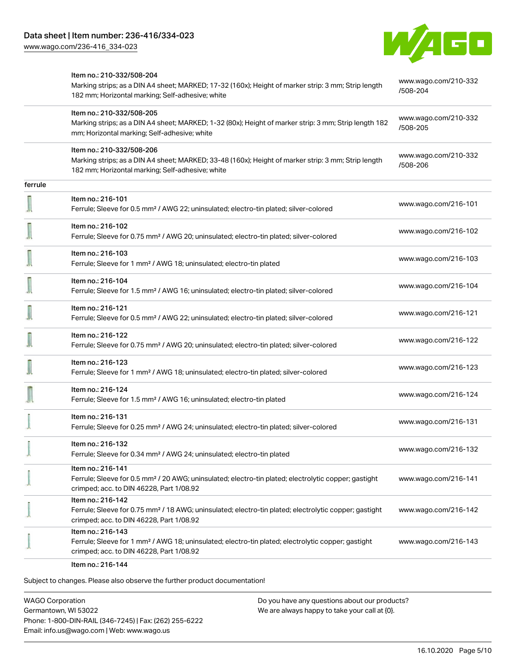

|         | Item no.: 210-332/508-204<br>Marking strips; as a DIN A4 sheet; MARKED; 17-32 (160x); Height of marker strip: 3 mm; Strip length<br>182 mm; Horizontal marking; Self-adhesive; white | www.wago.com/210-332<br>/508-204 |
|---------|--------------------------------------------------------------------------------------------------------------------------------------------------------------------------------------|----------------------------------|
|         | Item no.: 210-332/508-205<br>Marking strips; as a DIN A4 sheet; MARKED; 1-32 (80x); Height of marker strip: 3 mm; Strip length 182<br>mm; Horizontal marking; Self-adhesive; white   | www.wago.com/210-332<br>/508-205 |
|         | Item no.: 210-332/508-206<br>Marking strips; as a DIN A4 sheet; MARKED; 33-48 (160x); Height of marker strip: 3 mm; Strip length<br>182 mm; Horizontal marking; Self-adhesive; white | www.wago.com/210-332<br>/508-206 |
| ferrule |                                                                                                                                                                                      |                                  |
|         | Item no.: 216-101<br>Ferrule; Sleeve for 0.5 mm <sup>2</sup> / AWG 22; uninsulated; electro-tin plated; silver-colored                                                               | www.wago.com/216-101             |
|         | Item no.: 216-102<br>Ferrule; Sleeve for 0.75 mm <sup>2</sup> / AWG 20; uninsulated; electro-tin plated; silver-colored                                                              | www.wago.com/216-102             |
|         | Item no.: 216-103<br>Ferrule; Sleeve for 1 mm <sup>2</sup> / AWG 18; uninsulated; electro-tin plated                                                                                 | www.wago.com/216-103             |
|         | Item no.: 216-104<br>Ferrule; Sleeve for 1.5 mm <sup>2</sup> / AWG 16; uninsulated; electro-tin plated; silver-colored                                                               | www.wago.com/216-104             |
|         | Item no.: 216-121<br>Ferrule; Sleeve for 0.5 mm <sup>2</sup> / AWG 22; uninsulated; electro-tin plated; silver-colored                                                               | www.wago.com/216-121             |
|         | Item no.: 216-122<br>Ferrule; Sleeve for 0.75 mm <sup>2</sup> / AWG 20; uninsulated; electro-tin plated; silver-colored                                                              | www.wago.com/216-122             |
|         | Item no.: 216-123<br>Ferrule; Sleeve for 1 mm <sup>2</sup> / AWG 18; uninsulated; electro-tin plated; silver-colored                                                                 | www.wago.com/216-123             |
|         | Item no.: 216-124<br>Ferrule; Sleeve for 1.5 mm <sup>2</sup> / AWG 16; uninsulated; electro-tin plated                                                                               | www.wago.com/216-124             |
|         | Item no.: 216-131<br>Ferrule; Sleeve for 0.25 mm <sup>2</sup> / AWG 24; uninsulated; electro-tin plated; silver-colored                                                              | www.wago.com/216-131             |
|         | Item no.: 216-132<br>Ferrule; Sleeve for 0.34 mm <sup>2</sup> / AWG 24; uninsulated; electro-tin plated                                                                              | www.wago.com/216-132             |
|         | Item no.: 216-141<br>Ferrule; Sleeve for 0.5 mm <sup>2</sup> / 20 AWG; uninsulated; electro-tin plated; electrolytic copper; gastight<br>crimped; acc. to DIN 46228, Part 1/08.92    | www.wago.com/216-141             |
|         | Item no.: 216-142<br>Ferrule; Sleeve for 0.75 mm <sup>2</sup> / 18 AWG; uninsulated; electro-tin plated; electrolytic copper; gastight<br>crimped; acc. to DIN 46228, Part 1/08.92   | www.wago.com/216-142             |
|         | Item no.: 216-143<br>Ferrule; Sleeve for 1 mm <sup>2</sup> / AWG 18; uninsulated; electro-tin plated; electrolytic copper; gastight<br>crimped; acc. to DIN 46228, Part 1/08.92      | www.wago.com/216-143             |
|         | Item no.: 216-144                                                                                                                                                                    |                                  |

Subject to changes. Please also observe the further product documentation!

WAGO Corporation Germantown, WI 53022 Phone: 1-800-DIN-RAIL (346-7245) | Fax: (262) 255-6222 Email: info.us@wago.com | Web: www.wago.us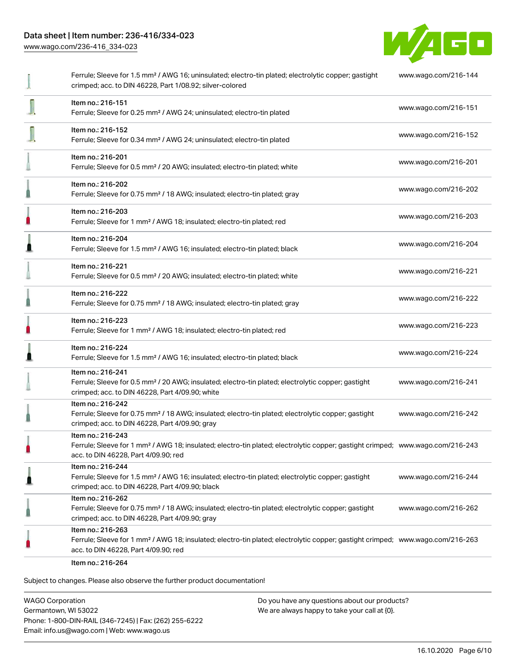[www.wago.com/236-416\\_334-023](http://www.wago.com/236-416_334-023)



|   | Ferrule; Sleeve for 1.5 mm <sup>2</sup> / AWG 16; uninsulated; electro-tin plated; electrolytic copper; gastight<br>crimped; acc. to DIN 46228, Part 1/08.92; silver-colored                            | www.wago.com/216-144 |
|---|---------------------------------------------------------------------------------------------------------------------------------------------------------------------------------------------------------|----------------------|
|   | Item no.: 216-151<br>Ferrule; Sleeve for 0.25 mm <sup>2</sup> / AWG 24; uninsulated; electro-tin plated                                                                                                 | www.wago.com/216-151 |
|   | Item no.: 216-152<br>Ferrule; Sleeve for 0.34 mm <sup>2</sup> / AWG 24; uninsulated; electro-tin plated                                                                                                 | www.wago.com/216-152 |
|   | Item no.: 216-201<br>Ferrule; Sleeve for 0.5 mm <sup>2</sup> / 20 AWG; insulated; electro-tin plated; white                                                                                             | www.wago.com/216-201 |
|   | Item no.: 216-202<br>Ferrule; Sleeve for 0.75 mm <sup>2</sup> / 18 AWG; insulated; electro-tin plated; gray                                                                                             | www.wago.com/216-202 |
| П | Item no.: 216-203<br>Ferrule; Sleeve for 1 mm <sup>2</sup> / AWG 18; insulated; electro-tin plated; red                                                                                                 | www.wago.com/216-203 |
|   | Item no.: 216-204<br>Ferrule; Sleeve for 1.5 mm <sup>2</sup> / AWG 16; insulated; electro-tin plated; black                                                                                             | www.wago.com/216-204 |
|   | Item no.: 216-221<br>Ferrule; Sleeve for 0.5 mm <sup>2</sup> / 20 AWG; insulated; electro-tin plated; white                                                                                             | www.wago.com/216-221 |
|   | Item no.: 216-222<br>Ferrule; Sleeve for 0.75 mm <sup>2</sup> / 18 AWG; insulated; electro-tin plated; gray                                                                                             | www.wago.com/216-222 |
|   | Item no.: 216-223<br>Ferrule; Sleeve for 1 mm <sup>2</sup> / AWG 18; insulated; electro-tin plated; red                                                                                                 | www.wago.com/216-223 |
|   | Item no.: 216-224<br>Ferrule; Sleeve for 1.5 mm <sup>2</sup> / AWG 16; insulated; electro-tin plated; black                                                                                             | www.wago.com/216-224 |
|   | Item no.: 216-241<br>Ferrule; Sleeve for 0.5 mm <sup>2</sup> / 20 AWG; insulated; electro-tin plated; electrolytic copper; gastight<br>crimped; acc. to DIN 46228, Part 4/09.90; white                  | www.wago.com/216-241 |
|   | Item no.: 216-242<br>Ferrule; Sleeve for 0.75 mm <sup>2</sup> / 18 AWG; insulated; electro-tin plated; electrolytic copper; gastight<br>crimped; acc. to DIN 46228, Part 4/09.90; gray                  | www.wago.com/216-242 |
|   | Item no.: 216-243<br>Ferrule; Sleeve for 1 mm <sup>2</sup> / AWG 18; insulated; electro-tin plated; electrolytic copper; gastight crimped; www.wago.com/216-243<br>acc. to DIN 46228, Part 4/09.90; red |                      |
|   | Item no.: 216-244<br>Ferrule; Sleeve for 1.5 mm <sup>2</sup> / AWG 16; insulated; electro-tin plated; electrolytic copper; gastight<br>crimped; acc. to DIN 46228, Part 4/09.90; black                  | www.wago.com/216-244 |
|   | Item no.: 216-262<br>Ferrule; Sleeve for 0.75 mm <sup>2</sup> / 18 AWG; insulated; electro-tin plated; electrolytic copper; gastight<br>crimped; acc. to DIN 46228, Part 4/09.90; gray                  | www.wago.com/216-262 |
|   | Item no.: 216-263<br>Ferrule; Sleeve for 1 mm <sup>2</sup> / AWG 18; insulated; electro-tin plated; electrolytic copper; gastight crimped; www.wago.com/216-263<br>acc. to DIN 46228, Part 4/09.90; red |                      |
|   | Item no.: 216-264                                                                                                                                                                                       |                      |

Subject to changes. Please also observe the further product documentation!

WAGO Corporation Germantown, WI 53022 Phone: 1-800-DIN-RAIL (346-7245) | Fax: (262) 255-6222 Email: info.us@wago.com | Web: www.wago.us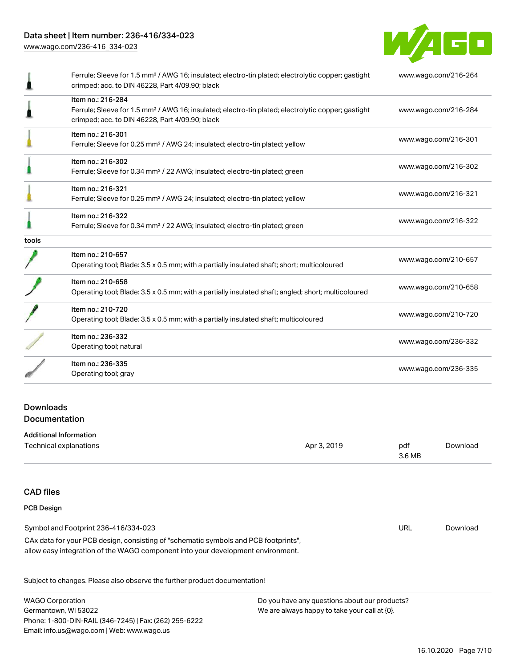[www.wago.com/236-416\\_334-023](http://www.wago.com/236-416_334-023)



| Item no.: 216-284<br>Ferrule; Sleeve for 1.5 mm <sup>2</sup> / AWG 16; insulated; electro-tin plated; electrolytic copper; gastight |                      |
|-------------------------------------------------------------------------------------------------------------------------------------|----------------------|
| crimped; acc. to DIN 46228, Part 4/09.90; black                                                                                     | www.wago.com/216-284 |
| Item no.: 216-301<br>Ferrule; Sleeve for 0.25 mm <sup>2</sup> / AWG 24; insulated; electro-tin plated; yellow                       | www.wago.com/216-301 |
| Item no.: 216-302<br>Ferrule; Sleeve for 0.34 mm <sup>2</sup> / 22 AWG; insulated; electro-tin plated; green                        | www.wago.com/216-302 |
| Item no.: 216-321<br>Ferrule; Sleeve for 0.25 mm <sup>2</sup> / AWG 24; insulated; electro-tin plated; yellow                       | www.wago.com/216-321 |
| Item no.: 216-322<br>Ferrule; Sleeve for 0.34 mm <sup>2</sup> / 22 AWG; insulated; electro-tin plated; green                        | www.wago.com/216-322 |
|                                                                                                                                     |                      |
| Item no.: 210-657<br>Operating tool; Blade: 3.5 x 0.5 mm; with a partially insulated shaft; short; multicoloured                    | www.wago.com/210-657 |
| Item no.: 210-658<br>Operating tool; Blade: 3.5 x 0.5 mm; with a partially insulated shaft; angled; short; multicoloured            | www.wago.com/210-658 |
| Item no.: 210-720<br>Operating tool; Blade: 3.5 x 0.5 mm; with a partially insulated shaft; multicoloured                           | www.wago.com/210-720 |
| Item no.: 236-332<br>Operating tool; natural                                                                                        | www.wago.com/236-332 |
| Item no.: 236-335<br>Operating tool; gray                                                                                           | www.wago.com/236-335 |
|                                                                                                                                     |                      |

| Technical explanations | Apr 3, 2019 | pdf           | Download |
|------------------------|-------------|---------------|----------|
|                        |             | 3.6 MB<br>___ |          |

# CAD files PCB Design

# Symbol and Footprint 236-416/334-023 CAx data for your PCB design, consisting of "schematic symbols and PCB footprints", allow easy integration of the WAGO component into your development environment. URL [Download](https://www.wago.com/us/d/UltraLibrarian_URLS_236-416_334-023)

Subject to changes. Please also observe the further product documentation!

| WAGO Corporation                                       | Do you have any questions about our products? |
|--------------------------------------------------------|-----------------------------------------------|
| Germantown, WI 53022                                   | We are always happy to take your call at {0}. |
| Phone: 1-800-DIN-RAIL (346-7245)   Fax: (262) 255-6222 |                                               |
| Email: info.us@wago.com   Web: www.wago.us             |                                               |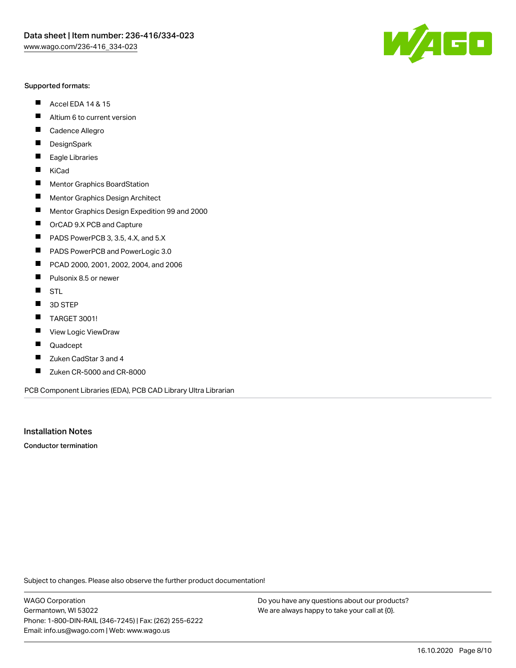#### Supported formats:

- $\blacksquare$ Accel EDA 14 & 15
- $\blacksquare$ Altium 6 to current version
- $\blacksquare$ Cadence Allegro
- $\blacksquare$ **DesignSpark**
- $\blacksquare$ Eagle Libraries
- $\blacksquare$ KiCad
- $\blacksquare$ Mentor Graphics BoardStation
- $\blacksquare$ Mentor Graphics Design Architect
- $\blacksquare$ Mentor Graphics Design Expedition 99 and 2000
- $\blacksquare$ OrCAD 9.X PCB and Capture
- $\blacksquare$ PADS PowerPCB 3, 3.5, 4.X, and 5.X
- $\blacksquare$ PADS PowerPCB and PowerLogic 3.0
- $\blacksquare$ PCAD 2000, 2001, 2002, 2004, and 2006
- $\blacksquare$ Pulsonix 8.5 or newer
- $\blacksquare$ STL
- 3D STEP П
- $\blacksquare$ TARGET 3001!
- $\blacksquare$ View Logic ViewDraw
- П Quadcept
- Zuken CadStar 3 and 4  $\blacksquare$
- Zuken CR-5000 and CR-8000 П

PCB Component Libraries (EDA), PCB CAD Library Ultra Librarian

Installation Notes

Conductor termination

Subject to changes. Please also observe the further product documentation!

WAGO Corporation Germantown, WI 53022 Phone: 1-800-DIN-RAIL (346-7245) | Fax: (262) 255-6222 Email: info.us@wago.com | Web: www.wago.us

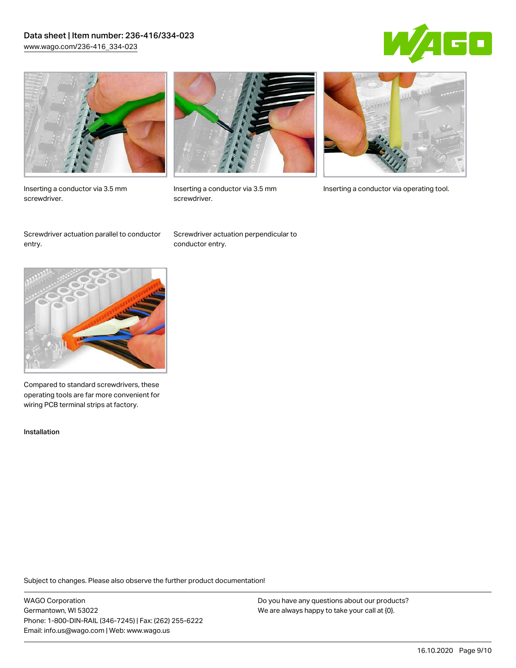# Data sheet | Item number: 236-416/334-023 [www.wago.com/236-416\\_334-023](http://www.wago.com/236-416_334-023)





Inserting a conductor via 3.5 mm screwdriver.



screwdriver.

Inserting a conductor via 3.5 mm Inserting a conductor via operating tool.

Screwdriver actuation parallel to conductor entry.

Screwdriver actuation perpendicular to conductor entry.



Compared to standard screwdrivers, these operating tools are far more convenient for wiring PCB terminal strips at factory.

Installation

Subject to changes. Please also observe the further product documentation!

WAGO Corporation Germantown, WI 53022 Phone: 1-800-DIN-RAIL (346-7245) | Fax: (262) 255-6222 Email: info.us@wago.com | Web: www.wago.us